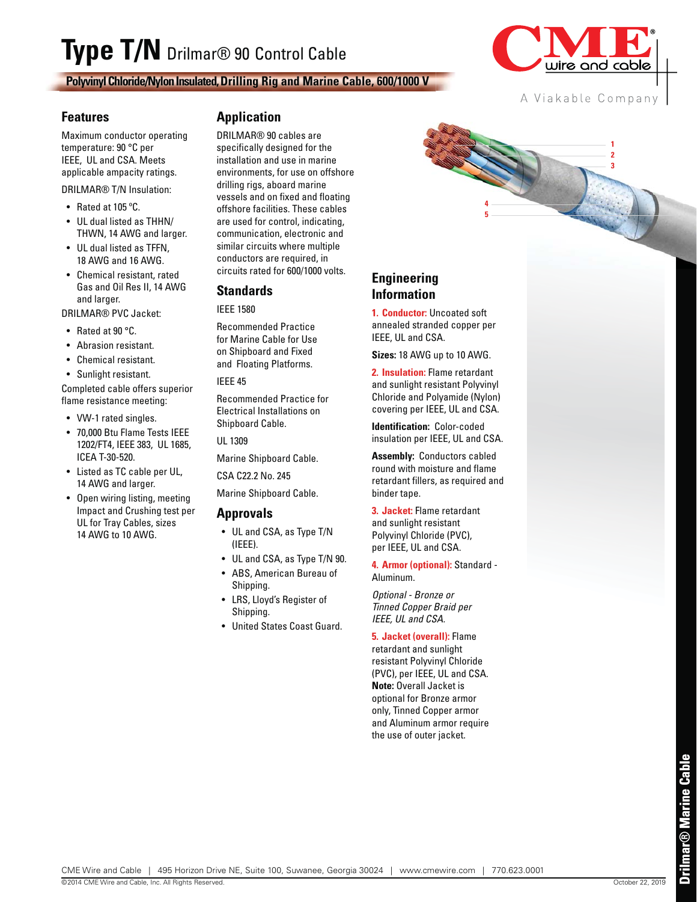# **Type T/N** Drilmar® 90 Control Cable

**Polyvinyl Chloride/Nylon Insulated, Drilling Rig and Marine Cable, 600/1000 V**



A Viakable Company

**3 2 1**

#### **Features**

Maximum conductor operating temperature: 90 °C per IEEE, UL and CSA. Meets applicable ampacity ratings.

DRILMAR® T/N Insulation:

- Rated at 105 ºC.
- UL dual listed as THHN/ THWN, 14 AWG and larger.
- UL dual listed as TFFN, 18 AWG and 16 AWG.
- Chemical resistant, rated Gas and Oil Res II, 14 AWG and larger.

DRILMAR® PVC Jacket:

- Rated at 90 °C.
- Abrasion resistant.
- Chemical resistant.
- Sunlight resistant.

Completed cable offers superior flame resistance meeting:

- VW-1 rated singles.
- 70,000 Btu Flame Tests IEEE 1202/FT4, IEEE 383, UL 1685, ICEA T-30-520.
- Listed as TC cable per UL, 14 AWG and larger.
- Open wiring listing, meeting Impact and Crushing test per UL for Tray Cables, sizes 14 AWG to 10 AWG.

#### **Application**

DRILMAR® 90 cables are specifically designed for the installation and use in marine environments, for use on offshore drilling rigs, aboard marine vessels and on fixed and floating offshore facilities. These cables are used for control, indicating, communication, electronic and similar circuits where multiple conductors are required, in circuits rated for 600/1000 volts.

#### **Standards**

IEEE 1580

Recommended Practice for Marine Cable for Use on Shipboard and Fixed and Floating Platforms.

#### IEEE 45

Recommended Practice for Electrical Installations on Shipboard Cable.

UL 1309

Marine Shipboard Cable.

CSA C22.2 No. 245

Marine Shipboard Cable.

#### **Approvals**

- UL and CSA, as Type T/N (IEEE).
- UL and CSA, as Type T/N 90.
- ABS, American Bureau of Shipping.
- LRS, Lloyd's Register of Shipping.
- United States Coast Guard.

### **Engineering Information**

**1. Conductor:** Uncoated soft annealed stranded copper per IEEE, UL and CSA.

**5 4**

**Sizes:** 18 AWG up to 10 AWG.

**2. Insulation:** Flame retardant and sunlight resistant Polyvinyl Chloride and Polyamide (Nylon) covering per IEEE, UL and CSA.

**Identification:** Color-coded insulation per IEEE, UL and CSA.

**Assembly:** Conductors cabled round with moisture and flame retardant fillers, as required and binder tape.

**3. Jacket:** Flame retardant and sunlight resistant Polyvinyl Chloride (PVC), per IEEE, UL and CSA.

**4. Armor (optional):** Standard - Aluminum.

Optional - Bronze or Tinned Copper Braid per IEEE, UL and CSA.

**5. Jacket (overall):** Flame retardant and sunlight resistant Polyvinyl Chloride (PVC), per IEEE, UL and CSA. **Note:** Overall Jacket is optional for Bronze armor only, Tinned Copper armor and Aluminum armor require the use of outer jacket.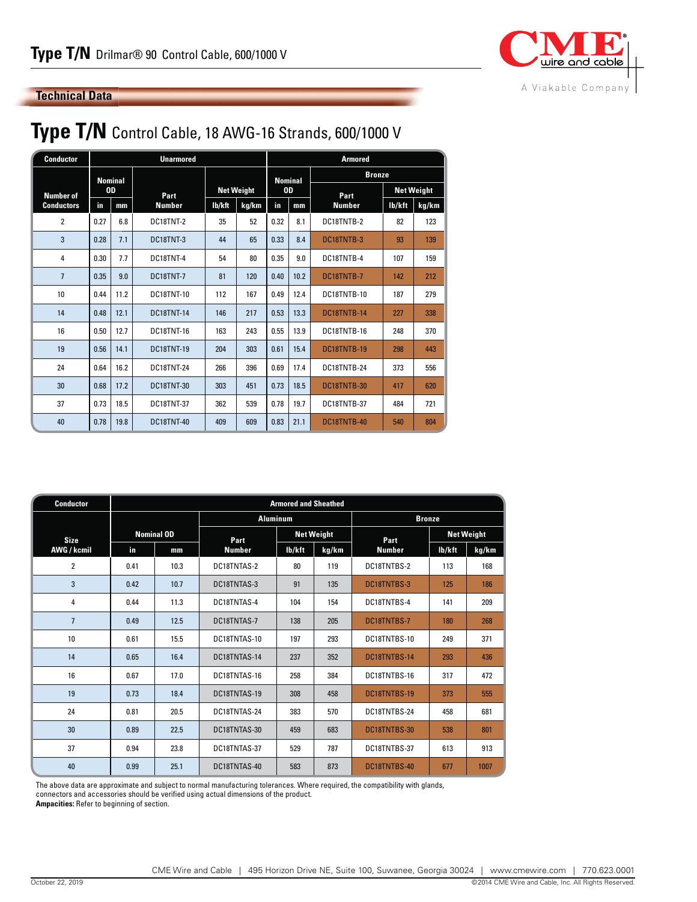

#### **Technical Data**

## **Type T/N** Control Cable, 18 AWG-16 Strands, 600/1000 V

| <b>Conductor</b>  | <b>Unarmored</b> |      |                   |                                      |     |           | <b>Armored</b> |               |                   |       |  |
|-------------------|------------------|------|-------------------|--------------------------------------|-----|-----------|----------------|---------------|-------------------|-------|--|
|                   | <b>Nominal</b>   |      |                   |                                      |     |           | <b>Nominal</b> | <b>Bronze</b> |                   |       |  |
| <b>Number of</b>  | <b>OD</b>        |      | Part              | <b>Net Weight</b><br>lb/kft<br>kg/km |     | <b>OD</b> |                | Part          | <b>Net Weight</b> |       |  |
| <b>Conductors</b> | in               | mm   | <b>Number</b>     |                                      |     | in        | mm             | <b>Number</b> | lb/kft            | kg/km |  |
| $\overline{2}$    | 0.27             | 6.8  | DC18TNT-2         | 35                                   | 52  | 0.32      | 8.1            | DC18TNTB-2    | 82                | 123   |  |
| 3                 | 0.28             | 7.1  | DC18TNT-3         | 44                                   | 65  | 0.33      | 8.4            | DC18TNTB-3    | 93                | 139   |  |
| 4                 | 0.30             | 7.7  | DC18TNT-4         | 54                                   | 80  | 0.35      | 9.0            | DC18TNTB-4    | 107               | 159   |  |
| $\overline{7}$    | 0.35             | 9.0  | <b>DC18TNT-7</b>  | 81                                   | 120 | 0.40      | 10.2           | DC18TNTB-7    | 142               | 212   |  |
| 10 <sup>10</sup>  | 0.44             | 11.2 | <b>DC18TNT-10</b> | 112                                  | 167 | 0.49      | 12.4           | DC18TNTB-10   | 187               | 279   |  |
| 14                | 0.48             | 12.1 | <b>DC18TNT-14</b> | 146                                  | 217 | 0.53      | 13.3           | DC18TNTB-14   | 227               | 338   |  |
| 16                | 0.50             | 12.7 | <b>DC18TNT-16</b> | 163                                  | 243 | 0.55      | 13.9           | DC18TNTB-16   | 248               | 370   |  |
| 19                | 0.56             | 14.1 | <b>DC18TNT-19</b> | 204                                  | 303 | 0.61      | 15.4           | DC18TNTB-19   | 298               | 443   |  |
| 24                | 0.64             | 16.2 | <b>DC18TNT-24</b> | 266                                  | 396 | 0.69      | 17.4           | DC18TNTB-24   | 373               | 556   |  |
| 30                | 0.68             | 17.2 | <b>DC18TNT-30</b> | 303                                  | 451 | 0.73      | 18.5           | DC18TNTB-30   | 417               | 620   |  |
| 37                | 0.73             | 18.5 | <b>DC18TNT-37</b> | 362                                  | 539 | 0.78      | 19.7           | DC18TNTB-37   | 484               | 721   |  |
| 40                | 0.78             | 19.8 | <b>DC18TNT-40</b> | 409                                  | 609 | 0.83      | 21.1           | DC18TNTB-40   | 540               | 804   |  |

| <b>Conductor</b> |      | <b>Armored and Sheathed</b> |                 |                   |               |               |                   |       |  |  |  |  |
|------------------|------|-----------------------------|-----------------|-------------------|---------------|---------------|-------------------|-------|--|--|--|--|
|                  |      |                             | <b>Aluminum</b> |                   | <b>Bronze</b> |               |                   |       |  |  |  |  |
| <b>Size</b>      |      | <b>Nominal OD</b>           | Part            | <b>Net Weight</b> |               | Part          | <b>Net Weight</b> |       |  |  |  |  |
| AWG / kcmil      | in.  | mm                          | <b>Number</b>   | lb/kft            | kg/km         | <b>Number</b> | lb/kft            | kg/km |  |  |  |  |
| $\overline{2}$   | 0.41 | 10.3                        | DC18TNTAS-2     | 80                | 119           | DC18TNTBS-2   | 113               | 168   |  |  |  |  |
| 3                | 0.42 | 10.7                        | DC18TNTAS-3     | 91                | 135           | DC18TNTBS-3   | 125               | 186   |  |  |  |  |
| 4                | 0.44 | 11.3                        | DC18TNTAS-4     | 104               | 154           | DC18TNTBS-4   | 141               | 209   |  |  |  |  |
| $\overline{7}$   | 0.49 | 12.5                        | DC18TNTAS-7     | 138               | 205           | DC18TNTBS-7   | 180               | 268   |  |  |  |  |
| 10               | 0.61 | 15.5                        | DC18TNTAS-10    | 197               | 293           | DC18TNTBS-10  | 249               | 371   |  |  |  |  |
| 14               | 0.65 | 16.4                        | DC18TNTAS-14    | 237               | 352           | DC18TNTBS-14  | 293               | 436   |  |  |  |  |
| 16               | 0.67 | 17.0                        | DC18TNTAS-16    | 258               | 384           | DC18TNTBS-16  | 317               | 472   |  |  |  |  |
| 19               | 0.73 | 18.4                        | DC18TNTAS-19    | 308               | 458           | DC18TNTBS-19  | 373               | 555   |  |  |  |  |
| 24               | 0.81 | 20.5                        | DC18TNTAS-24    | 383               | 570           | DC18TNTBS-24  | 458               | 681   |  |  |  |  |
| 30               | 0.89 | 22.5                        | DC18TNTAS-30    | 459               | 683           | DC18TNTBS-30  | 538               | 801   |  |  |  |  |
| 37               | 0.94 | 23.8                        | DC18TNTAS-37    | 529               | 787           | DC18TNTBS-37  | 613               | 913   |  |  |  |  |
| 40               | 0.99 | 25.1                        | DC18TNTAS-40    | 583               | 873           | DC18TNTBS-40  | 677               | 1007  |  |  |  |  |

The above data are approximate and subject to normal manufacturing tolerances. Where required, the compatibility with glands,

connectors and accessories should be verified using actual dimensions of the product.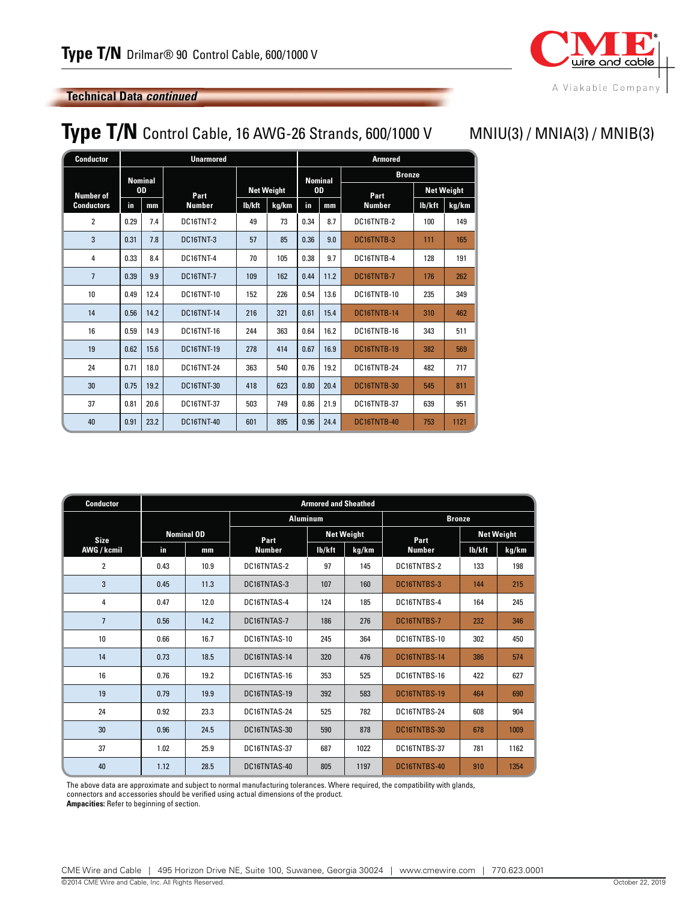

#### **Technical Data** *continued*

## **Type T/N** Control Cable, 16 AWG-26 Strands, 600/1000 V MNIU(3) / MNIA(3) / MNIB(3)

| <b>Conductor</b>  |      |                | <b>Unarmored</b>  |                   |       | <b>Armored</b> |                |               |                   |       |  |
|-------------------|------|----------------|-------------------|-------------------|-------|----------------|----------------|---------------|-------------------|-------|--|
|                   |      | <b>Nominal</b> |                   |                   |       |                | <b>Nominal</b> | <b>Bronze</b> |                   |       |  |
| <b>Number of</b>  |      | <b>OD</b>      | Part              | <b>Net Weight</b> |       | <b>OD</b>      |                | Part          | <b>Net Weight</b> |       |  |
| <b>Conductors</b> | in   | mm             | <b>Number</b>     | lb/kft            | kg/km | in<br>mm       |                | <b>Number</b> | lb/kft            | kg/km |  |
| $\overline{2}$    | 0.29 | 7.4            | DC16TNT-2         | 49                | 73    | 0.34           | 8.7            | DC16TNTB-2    | 100               | 149   |  |
| 3                 | 0.31 | 7.8            | DC16TNT-3         | 57                | 85    | 0.36           | 9.0            | DC16TNTB-3    | 111               | 165   |  |
| $\overline{4}$    | 0.33 | 8.4            | DC16TNT-4         | 70                | 105   | 0.38           | 9.7            | DC16TNTB-4    | 128               | 191   |  |
| $\overline{7}$    | 0.39 | 9.9            | DC16TNT-7         | 109               | 162   | 0.44           | 11.2           | DC16TNTB-7    | 176               | 262   |  |
| 10 <sup>1</sup>   | 0.49 | 12.4           | <b>DC16TNT-10</b> | 152               | 226   | 0.54           | 13.6           | DC16TNTB-10   | 235               | 349   |  |
| 14                | 0.56 | 14.2           | <b>DC16TNT-14</b> | 216               | 321   | 0.61           | 15.4           | DC16TNTB-14   | 310               | 462   |  |
| 16                | 0.59 | 14.9           | <b>DC16TNT-16</b> | 244               | 363   | 0.64           | 16.2           | DC16TNTB-16   | 343               | 511   |  |
| 19                | 0.62 | 15.6           | <b>DC16TNT-19</b> | 278               | 414   | 0.67           | 16.9           | DC16TNTB-19   | 382               | 569   |  |
| 24                | 0.71 | 18.0           | <b>DC16TNT-24</b> | 363               | 540   | 0.76           | 19.2           | DC16TNTB-24   | 482               | 717   |  |
| 30                | 0.75 | 19.2           | <b>DC16TNT-30</b> | 418               | 623   | 0.80           | 20.4           | DC16TNTB-30   | 545               | 811   |  |
| 37                | 0.81 | 20.6           | <b>DC16TNT-37</b> | 503               | 749   | 0.86           | 21.9           | DC16TNTB-37   | 639               | 951   |  |
| 40                | 0.91 | 23.2           | <b>DC16TNT-40</b> | 601               | 895   | 0.96           | 24.4           | DC16TNTB-40   | 753               | 1121  |  |

| <b>Conductor</b> |      | <b>Armored and Sheathed</b> |                 |                   |       |               |                   |       |  |  |  |
|------------------|------|-----------------------------|-----------------|-------------------|-------|---------------|-------------------|-------|--|--|--|
|                  |      |                             | <b>Aluminum</b> |                   |       | <b>Bronze</b> |                   |       |  |  |  |
| <b>Size</b>      |      | <b>Nominal OD</b>           | Part            | <b>Net Weight</b> |       | Part          | <b>Net Weight</b> |       |  |  |  |
| AWG / kcmil      | in.  | mm                          | <b>Number</b>   | lb/kft            | kg/km | <b>Number</b> | lb/kft            | kg/km |  |  |  |
| 2                | 0.43 | 10.9                        | DC16TNTAS-2     | 97                | 145   | DC16TNTBS-2   | 133               | 198   |  |  |  |
| 3                | 0.45 | 11.3                        | DC16TNTAS-3     | 107               | 160   | DC16TNTBS-3   | 144               | 215   |  |  |  |
| 4                | 0.47 | 12.0                        | DC16TNTAS-4     | 124               | 185   | DC16TNTBS-4   | 164               | 245   |  |  |  |
| $\overline{7}$   | 0.56 | 14.2                        | DC16TNTAS-7     | 186               | 276   | DC16TNTBS-7   | 232               | 346   |  |  |  |
| 10               | 0.66 | 16.7                        | DC16TNTAS-10    | 245               | 364   | DC16TNTBS-10  | 302               | 450   |  |  |  |
| 14               | 0.73 | 18.5                        | DC16TNTAS-14    | 320               | 476   | DC16TNTBS-14  | 386               | 574   |  |  |  |
| 16               | 0.76 | 19.2                        | DC16TNTAS-16    | 353               | 525   | DC16TNTBS-16  | 422               | 627   |  |  |  |
| 19               | 0.79 | 19.9                        | DC16TNTAS-19    | 392               | 583   | DC16TNTBS-19  | 464               | 690   |  |  |  |
| 24               | 0.92 | 23.3                        | DC16TNTAS-24    | 525               | 782   | DC16TNTBS-24  | 608               | 904   |  |  |  |
| 30               | 0.96 | 24.5                        | DC16TNTAS-30    | 590               | 878   | DC16TNTBS-30  | 678               | 1009  |  |  |  |
| 37               | 1.02 | 25.9                        | DC16TNTAS-37    | 687               | 1022  | DC16TNTBS-37  | 781               | 1162  |  |  |  |
| 40               | 1.12 | 28.5                        | DC16TNTAS-40    | 805               | 1197  | DC16TNTBS-40  | 910               | 1354  |  |  |  |

The above data are approximate and subject to normal manufacturing tolerances. Where required, the compatibility with glands, connectors and accessories should be verified using actual dimensions of the product.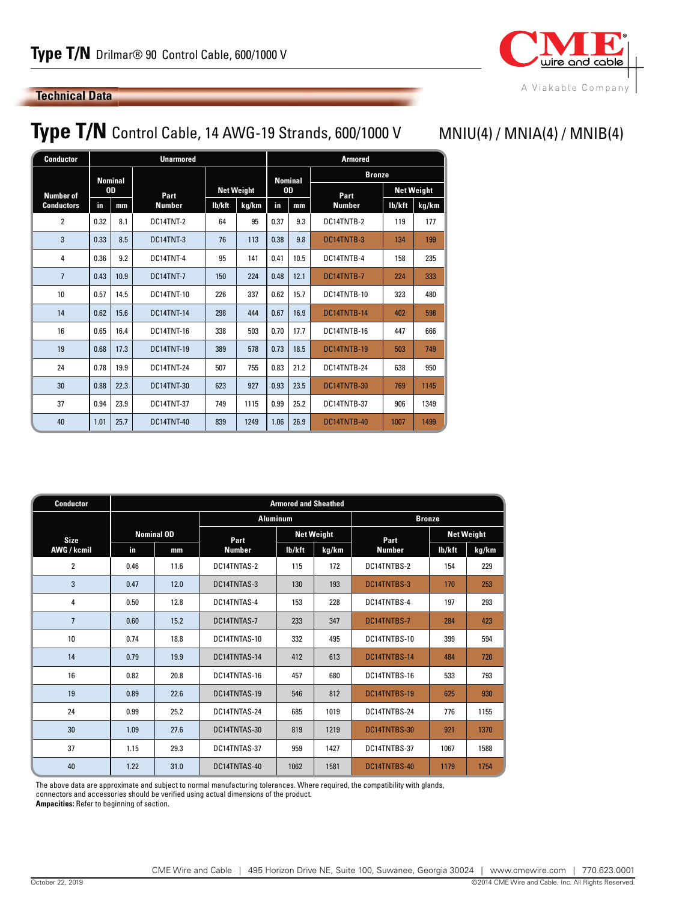

MNIU(4) / MNIA(4) / MNIB(4)

#### **Technical Data**

## **Type T/N** Control Cable, 14 AWG-19 Strands, 600/1000 V

| <b>Conductor</b>  | <b>Unarmored</b> |                |                   |                   |       |           | <b>Armored</b> |               |                   |       |  |
|-------------------|------------------|----------------|-------------------|-------------------|-------|-----------|----------------|---------------|-------------------|-------|--|
|                   |                  | <b>Nominal</b> |                   |                   |       |           | <b>Nominal</b> | <b>Bronze</b> |                   |       |  |
| <b>Number of</b>  | <b>OD</b>        |                | Part              | <b>Net Weight</b> |       | <b>OD</b> |                | Part          | <b>Net Weight</b> |       |  |
| <b>Conductors</b> | in               | mm             | <b>Number</b>     | lb/kft            | kg/km | in.       | mm             | <b>Number</b> | lb/kft            | kg/km |  |
| $\overline{2}$    | 0.32             | 8.1            | DC14TNT-2         | 64                | 95    | 0.37      | 9.3            | DC14TNTB-2    | 119               | 177   |  |
| 3                 | 0.33             | 8.5            | DC14TNT-3         | 76                | 113   | 0.38      | 9.8            | DC14TNTB-3    | 134               | 199   |  |
| 4                 | 0.36             | 9.2            | DC14TNT-4         | 95                | 141   | 0.41      | 10.5           | DC14TNTB-4    | 158               | 235   |  |
| $\overline{7}$    | 0.43             | 10.9           | DC14TNT-7         | 150               | 224   | 0.48      | 12.1           | DC14TNTB-7    | 224               | 333   |  |
| 10                | 0.57             | 14.5           | <b>DC14TNT-10</b> | 226               | 337   | 0.62      | 15.7           | DC14TNTB-10   | 323               | 480   |  |
| 14                | 0.62             | 15.6           | <b>DC14TNT-14</b> | 298               | 444   | 0.67      | 16.9           | DC14TNTB-14   | 402               | 598   |  |
| 16                | 0.65             | 16.4           | <b>DC14TNT-16</b> | 338               | 503   | 0.70      | 17.7           | DC14TNTB-16   | 447               | 666   |  |
| 19                | 0.68             | 17.3           | <b>DC14TNT-19</b> | 389               | 578   | 0.73      | 18.5           | DC14TNTB-19   | 503               | 749   |  |
| 24                | 0.78             | 19.9           | <b>DC14TNT-24</b> | 507               | 755   | 0.83      | 21.2           | DC14TNTB-24   | 638               | 950   |  |
| 30                | 0.88             | 22.3           | <b>DC14TNT-30</b> | 623               | 927   | 0.93      | 23.5           | DC14TNTB-30   | 769               | 1145  |  |
| 37                | 0.94             | 23.9           | <b>DC14TNT-37</b> | 749               | 1115  | 0.99      | 25.2           | DC14TNTB-37   | 906               | 1349  |  |
| 40                | 1.01             | 25.7           | <b>DC14TNT-40</b> | 839               | 1249  | 1.06      | 26.9           | DC14TNTB-40   | 1007              | 1499  |  |

| <b>Conductor</b> | <b>Armored and Sheathed</b> |                   |                 |                   |       |               |                   |       |  |  |  |
|------------------|-----------------------------|-------------------|-----------------|-------------------|-------|---------------|-------------------|-------|--|--|--|
|                  |                             |                   | <b>Aluminum</b> |                   |       | <b>Bronze</b> |                   |       |  |  |  |
| <b>Size</b>      |                             | <b>Nominal OD</b> | Part            | <b>Net Weight</b> |       | Part          | <b>Net Weight</b> |       |  |  |  |
| AWG / kcmil      | in                          | mm                | <b>Number</b>   | lb/kft            | kg/km | <b>Number</b> | lb/kft            | kg/km |  |  |  |
| $\overline{2}$   | 0.46                        | 11.6              | DC14TNTAS-2     | 115               | 172   | DC14TNTBS-2   | 154               | 229   |  |  |  |
| 3                | 0.47                        | 12.0              | DC14TNTAS-3     | 130               | 193   | DC14TNTBS-3   | 170               | 253   |  |  |  |
| 4                | 0.50                        | 12.8              | DC14TNTAS-4     | 153               | 228   | DC14TNTBS-4   | 197               | 293   |  |  |  |
| $\overline{7}$   | 0.60                        | 15.2              | DC14TNTAS-7     | 233               | 347   | DC14TNTBS-7   | 284               | 423   |  |  |  |
| 10               | 0.74                        | 18.8              | DC14TNTAS-10    | 332               | 495   | DC14TNTBS-10  | 399               | 594   |  |  |  |
| 14               | 0.79                        | 19.9              | DC14TNTAS-14    | 412               | 613   | DC14TNTBS-14  | 484               | 720   |  |  |  |
| 16               | 0.82                        | 20.8              | DC14TNTAS-16    | 457               | 680   | DC14TNTBS-16  | 533               | 793   |  |  |  |
| 19               | 0.89                        | 22.6              | DC14TNTAS-19    | 546               | 812   | DC14TNTBS-19  | 625               | 930   |  |  |  |
| 24               | 0.99                        | 25.2              | DC14TNTAS-24    | 685               | 1019  | DC14TNTBS-24  | 776               | 1155  |  |  |  |
| 30               | 1.09                        | 27.6              | DC14TNTAS-30    | 819               | 1219  | DC14TNTBS-30  | 921               | 1370  |  |  |  |
| 37               | 1.15                        | 29.3              | DC14TNTAS-37    | 959               | 1427  | DC14TNTBS-37  | 1067              | 1588  |  |  |  |
| 40               | 1.22                        | 31.0              | DC14TNTAS-40    | 1062              | 1581  | DC14TNTBS-40  | 1179              | 1754  |  |  |  |

The above data are approximate and subject to normal manufacturing tolerances. Where required, the compatibility with glands,

connectors and accessories should be verified using actual dimensions of the product.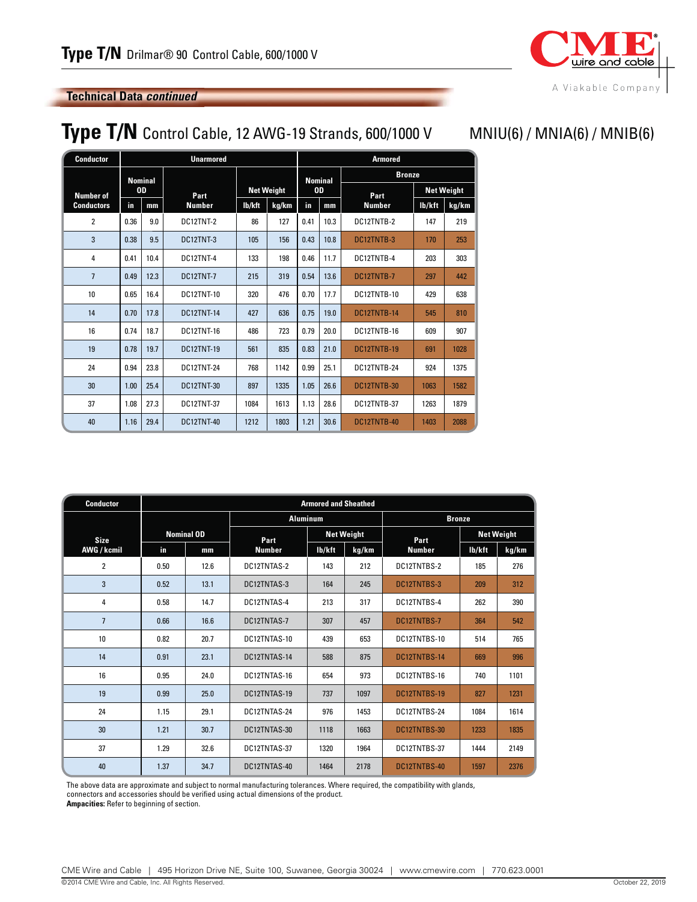

#### **Technical Data** *continued*

## **Type T/N** Control Cable, 12 AWG-19 Strands, 600/1000 V MNIU(6) / MNIA(6) / MNIB(6)

| <b>Conductor</b>              |      |                | <b>Unarmored</b>  |                   |       |                      |      | <b>Armored</b> |                   |       |  |
|-------------------------------|------|----------------|-------------------|-------------------|-------|----------------------|------|----------------|-------------------|-------|--|
|                               |      | <b>Nominal</b> |                   |                   |       | <b>Nominal</b><br>0D |      | <b>Bronze</b>  |                   |       |  |
| <b>OD</b><br><b>Number of</b> |      |                | Part              | <b>Net Weight</b> |       |                      |      | Part           | <b>Net Weight</b> |       |  |
| <b>Conductors</b>             | in   | mm             | <b>Number</b>     | lb/kft            | kg/km | in                   | mm   | <b>Number</b>  | lb/kft            | kg/km |  |
| $\overline{2}$                | 0.36 | 9.0            | DC12TNT-2         | 86                | 127   | 0.41                 | 10.3 | DC12TNTB-2     | 147               | 219   |  |
| 3                             | 0.38 | 9.5            | DC12TNT-3         | 105               | 156   | 0.43                 | 10.8 | DC12TNTB-3     | 170               | 253   |  |
| 4                             | 0.41 | 10.4           | DC12TNT-4         | 133               | 198   | 0.46                 | 11.7 | DC12TNTB-4     | 203               | 303   |  |
| $\overline{7}$                | 0.49 | 12.3           | DC12TNT-7         | 215               | 319   | 0.54                 | 13.6 | DC12TNTB-7     | 297               | 442   |  |
| 10                            | 0.65 | 16.4           | <b>DC12TNT-10</b> | 320               | 476   | 0.70                 | 17.7 | DC12TNTB-10    | 429               | 638   |  |
| 14                            | 0.70 | 17.8           | <b>DC12TNT-14</b> | 427               | 636   | 0.75                 | 19.0 | DC12TNTB-14    | 545               | 810   |  |
| 16                            | 0.74 | 18.7           | <b>DC12TNT-16</b> | 486               | 723   | 0.79                 | 20.0 | DC12TNTB-16    | 609               | 907   |  |
| 19                            | 0.78 | 19.7           | <b>DC12TNT-19</b> | 561               | 835   | 0.83                 | 21.0 | DC12TNTB-19    | 691               | 1028  |  |
| 24                            | 0.94 | 23.8           | <b>DC12TNT-24</b> | 768               | 1142  | 0.99                 | 25.1 | DC12TNTB-24    | 924               | 1375  |  |
| 30                            | 1.00 | 25.4           | <b>DC12TNT-30</b> | 897               | 1335  | 1.05                 | 26.6 | DC12TNTB-30    | 1063              | 1582  |  |
| 37                            | 1.08 | 27.3           | <b>DC12TNT-37</b> | 1084              | 1613  | 1.13                 | 28.6 | DC12TNTB-37    | 1263              | 1879  |  |
| 40                            | 1.16 | 29.4           | <b>DC12TNT-40</b> | 1212              | 1803  | 1.21                 | 30.6 | DC12TNTB-40    | 1403              | 2088  |  |

| <b>Conductor</b> |                   | <b>Armored and Sheathed</b> |                 |                   |       |               |                   |       |  |  |  |  |
|------------------|-------------------|-----------------------------|-----------------|-------------------|-------|---------------|-------------------|-------|--|--|--|--|
|                  |                   |                             | <b>Aluminum</b> |                   |       | <b>Bronze</b> |                   |       |  |  |  |  |
| <b>Size</b>      | <b>Nominal OD</b> |                             | Part            | <b>Net Weight</b> |       | Part          | <b>Net Weight</b> |       |  |  |  |  |
| AWG / kcmil      | in.               | mm                          | <b>Number</b>   | lb/kft            | kg/km | <b>Number</b> | lb/kft            | kg/km |  |  |  |  |
| $\overline{2}$   | 0.50              | 12.6                        | DC12TNTAS-2     | 143               | 212   | DC12TNTBS-2   | 185               | 276   |  |  |  |  |
| 3                | 0.52              | 13.1                        | DC12TNTAS-3     | 164               | 245   | DC12TNTBS-3   | 209               | 312   |  |  |  |  |
| 4                | 0.58              | 14.7                        | DC12TNTAS-4     | 213               | 317   | DC12TNTBS-4   | 262               | 390   |  |  |  |  |
| $\overline{7}$   | 0.66              | 16.6                        | DC12TNTAS-7     | 307               | 457   | DC12TNTBS-7   | 364               | 542   |  |  |  |  |
| 10               | 0.82              | 20.7                        | DC12TNTAS-10    | 439               | 653   | DC12TNTBS-10  | 514               | 765   |  |  |  |  |
| 14               | 0.91              | 23.1                        | DC12TNTAS-14    | 588               | 875   | DC12TNTBS-14  | 669               | 996   |  |  |  |  |
| 16               | 0.95              | 24.0                        | DC12TNTAS-16    | 654               | 973   | DC12TNTBS-16  | 740               | 1101  |  |  |  |  |
| 19               | 0.99              | 25.0                        | DC12TNTAS-19    | 737               | 1097  | DC12TNTBS-19  | 827               | 1231  |  |  |  |  |
| 24               | 1.15              | 29.1                        | DC12TNTAS-24    | 976               | 1453  | DC12TNTBS-24  | 1084              | 1614  |  |  |  |  |
| 30               | 1.21              | 30.7                        | DC12TNTAS-30    | 1118              | 1663  | DC12TNTBS-30  | 1233              | 1835  |  |  |  |  |
| 37               | 1.29              | 32.6                        | DC12TNTAS-37    | 1320              | 1964  | DC12TNTBS-37  | 1444              | 2149  |  |  |  |  |
| 40               | 1.37              | 34.7                        | DC12TNTAS-40    | 1464              | 2178  | DC12TNTBS-40  | 1597              | 2376  |  |  |  |  |

The above data are approximate and subject to normal manufacturing tolerances. Where required, the compatibility with glands, connectors and accessories should be verified using actual dimensions of the product.